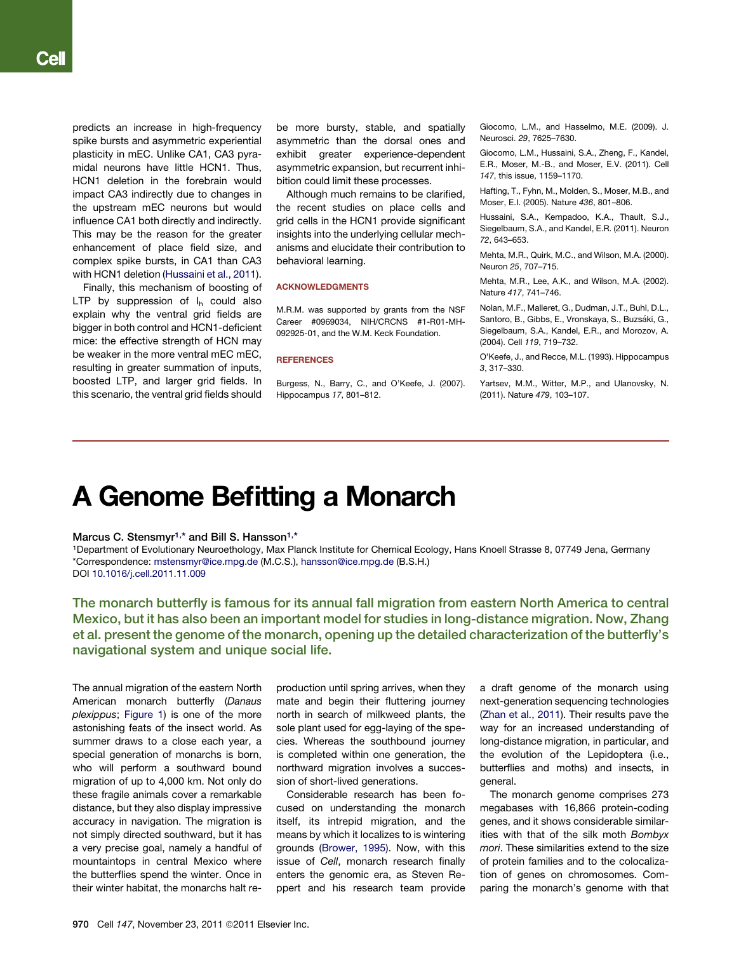predicts an increase in high-frequency spike bursts and asymmetric experiential plasticity in mEC. Unlike CA1, CA3 pyramidal neurons have little HCN1. Thus, HCN1 deletion in the forebrain would impact CA3 indirectly due to changes in the upstream mEC neurons but would influence CA1 both directly and indirectly. This may be the reason for the greater enhancement of place field size, and complex spike bursts, in CA1 than CA3 with HCN1 deletion (Hussaini et al., 2011).

Finally, this mechanism of boosting of LTP by suppression of  $I_h$  could also explain why the ventral grid fields are bigger in both control and HCN1-deficient mice: the effective strength of HCN may be weaker in the more ventral mEC mEC, resulting in greater summation of inputs, boosted LTP, and larger grid fields. In this scenario, the ventral grid fields should

be more bursty, stable, and spatially asymmetric than the dorsal ones and exhibit greater experience-dependent asymmetric expansion, but recurrent inhibition could limit these processes.

Although much remains to be clarified, the recent studies on place cells and grid cells in the HCN1 provide significant insights into the underlying cellular mechanisms and elucidate their contribution to behavioral learning.

## **ACKNOWLEDGMENTS**

M.R.M. was supported by grants from the NSF Career #0969034, NIH/CRCNS #1-R01-MH-092925-01, and the W.M. Keck Foundation.

# **REFERENCES**

Burgess, N., Barry, C., and O'Keefe, J. (2007). Hippocampus *17*, 801–812.

Giocomo, L.M., and Hasselmo, M.E. (2009). J. Neurosci. *29*, 7625–7630.

Giocomo, L.M., Hussaini, S.A., Zheng, F., Kandel, E.R., Moser, M.-B., and Moser, E.V. (2011). Cell *147*, this issue, 1159–1170.

Hafting, T., Fyhn, M., Molden, S., Moser, M.B., and Moser, E.I. (2005). Nature *436*, 801–806.

Hussaini, S.A., Kempadoo, K.A., Thault, S.J., Siegelbaum, S.A., and Kandel, E.R. (2011). Neuron *72*, 643–653.

Mehta, M.R., Quirk, M.C., and Wilson, M.A. (2000). Neuron *25*, 707–715.

Mehta, M.R., Lee, A.K., and Wilson, M.A. (2002). Nature *417*, 741–746.

Nolan, M.F., Malleret, G., Dudman, J.T., Buhl, D.L., Santoro, B., Gibbs, E., Vronskava, S., Buzsáki, G., Siegelbaum, S.A., Kandel, E.R., and Morozov, A. (2004). Cell *119*, 719–732.

O'Keefe, J., and Recce, M.L. (1993). Hippocampus *3*, 317–330.

Yartsev, M.M., Witter, M.P., and Ulanovsky, N. (2011). Nature *479*, 103–107.

# A Genome Befitting a Monarch

# Marcus C. Stensmyr<sup>1,\*</sup> and Bill S. Hansson<sup>1,\*</sup>

1Department of Evolutionary Neuroethology, Max Planck Institute for Chemical Ecology, Hans Knoell Strasse 8, 07749 Jena, Germany \*Correspondence: [mstensmyr@ice.mpg.de](mailto:mstensmyr@ice.mpg.de) (M.C.S.), [hansson@ice.mpg.de](mailto:hansson@ice.mpg.de) (B.S.H.) DOI [10.1016/j.cell.2011.11.009](http://dx.doi.org/10.1016/j.cell.2011.11.009)

The monarch butterfly is famous for its annual fall migration from eastern North America to central Mexico, but it has also been an important model for studies in long-distance migration. Now, Zhang et al. present the genome of the monarch, opening up the detailed characterization of the butterfly's navigational system and unique social life.

The annual migration of the eastern North American monarch butterfly (*Danaus plexippus*; [Figure 1](#page-1-0)) is one of the more astonishing feats of the insect world. As summer draws to a close each year, a special generation of monarchs is born, who will perform a southward bound migration of up to 4,000 km. Not only do these fragile animals cover a remarkable distance, but they also display impressive accuracy in navigation. The migration is not simply directed southward, but it has a very precise goal, namely a handful of mountaintops in central Mexico where the butterflies spend the winter. Once in their winter habitat, the monarchs halt reproduction until spring arrives, when they mate and begin their fluttering journey north in search of milkweed plants, the sole plant used for egg-laying of the species. Whereas the southbound journey is completed within one generation, the northward migration involves a succession of short-lived generations.

Considerable research has been focused on understanding the monarch itself, its intrepid migration, and the means by which it localizes to is wintering grounds ([Brower, 1995](#page-2-0)). Now, with this issue of *Cell*, monarch research finally enters the genomic era, as Steven Reppert and his research team provide

a draft genome of the monarch using next-generation sequencing technologies ([Zhan et al., 2011\)](#page-2-0). Their results pave the way for an increased understanding of long-distance migration, in particular, and the evolution of the Lepidoptera (i.e., butterflies and moths) and insects, in general.

The monarch genome comprises 273 megabases with 16,866 protein-coding genes, and it shows considerable similarities with that of the silk moth *Bombyx mori*. These similarities extend to the size of protein families and to the colocalization of genes on chromosomes. Comparing the monarch's genome with that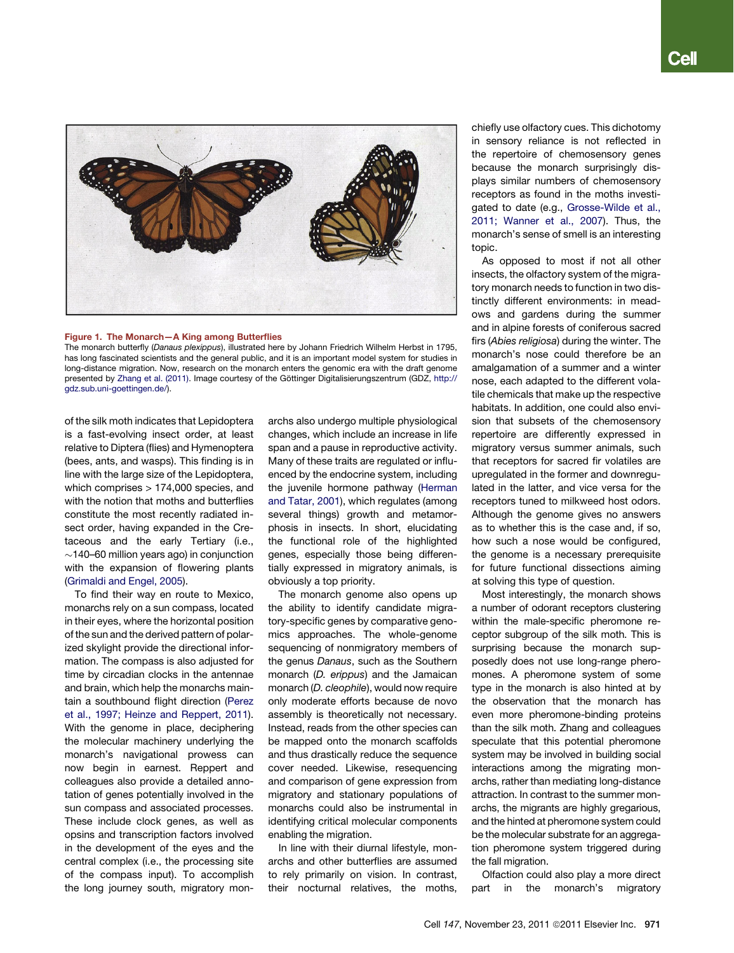<span id="page-1-0"></span>

Figure 1. The monarch butterfly (*Danaus plexippus*), illustrated here by Johann Friedrich Wilhelm Herbst in 1795,<br>has long fascinated scientists and the general public, and it is an important model system for studies in has long fascinated scientists and the general public, and it is an important model system for studies in long-distance migration. Now, research on the monarch enters the genomic era with the draft genome presented by [Zhang et al. \(2011\)](#page-2-0). Image courtesy of the Göttinger Digitalisierungszentrum (GDZ, [http://](http://gdz.sub.uni-goettingen.de/) [gdz.sub.uni-goettingen.de/](http://gdz.sub.uni-goettingen.de/)).

of the silk moth indicates that Lepidoptera is a fast-evolving insect order, at least relative to Diptera (flies) and Hymenoptera (bees, ants, and wasps). This finding is in line with the large size of the Lepidoptera, which comprises > 174,000 species, and with the notion that moths and butterflies constitute the most recently radiated insect order, having expanded in the Cretaceous and the early Tertiary (i.e.,  $\sim$ 140–60 million years ago) in conjunction with the expansion of flowering plants [\(Grimaldi and Engel, 2005](#page-2-0)).

To find their way en route to Mexico, monarchs rely on a sun compass, located in their eyes, where the horizontal position of the sun and the derived pattern of polarized skylight provide the directional information. The compass is also adjusted for time by circadian clocks in the antennae and brain, which help the monarchs maintain a southbound flight direction [\(Perez](#page-2-0) [et al., 1997; Heinze and Reppert, 2011\)](#page-2-0). With the genome in place, deciphering the molecular machinery underlying the monarch's navigational prowess can now begin in earnest. Reppert and colleagues also provide a detailed annotation of genes potentially involved in the sun compass and associated processes. These include clock genes, as well as opsins and transcription factors involved in the development of the eyes and the central complex (i.e., the processing site of the compass input). To accomplish the long journey south, migratory monarchs also undergo multiple physiological changes, which include an increase in life span and a pause in reproductive activity. Many of these traits are regulated or influenced by the endocrine system, including the juvenile hormone pathway ([Herman](#page-2-0) [and Tatar, 2001\)](#page-2-0), which regulates (among several things) growth and metamorphosis in insects. In short, elucidating the functional role of the highlighted genes, especially those being differentially expressed in migratory animals, is obviously a top priority.

The monarch genome also opens up the ability to identify candidate migratory-specific genes by comparative genomics approaches. The whole-genome sequencing of nonmigratory members of the genus *Danaus*, such as the Southern monarch (*D. erippus*) and the Jamaican monarch (*D. cleophile*), would now require only moderate efforts because de novo assembly is theoretically not necessary. Instead, reads from the other species can be mapped onto the monarch scaffolds and thus drastically reduce the sequence cover needed. Likewise, resequencing and comparison of gene expression from migratory and stationary populations of monarchs could also be instrumental in identifying critical molecular components enabling the migration.

In line with their diurnal lifestyle, monarchs and other butterflies are assumed to rely primarily on vision. In contrast, their nocturnal relatives, the moths,

chiefly use olfactory cues. This dichotomy in sensory reliance is not reflected in the repertoire of chemosensory genes because the monarch surprisingly displays similar numbers of chemosensory receptors as found in the moths investigated to date (e.g., [Grosse-Wilde et al.,](#page-2-0) [2011; Wanner et al., 2007\)](#page-2-0). Thus, the monarch's sense of smell is an interesting topic.

As opposed to most if not all other insects, the olfactory system of the migratory monarch needs to function in two distinctly different environments: in meadows and gardens during the summer and in alpine forests of coniferous sacred firs (*Abies religiosa*) during the winter. The monarch's nose could therefore be an amalgamation of a summer and a winter nose, each adapted to the different volatile chemicals that make up the respective habitats. In addition, one could also envision that subsets of the chemosensory repertoire are differently expressed in migratory versus summer animals, such that receptors for sacred fir volatiles are upregulated in the former and downregulated in the latter, and vice versa for the receptors tuned to milkweed host odors. Although the genome gives no answers as to whether this is the case and, if so, how such a nose would be configured, the genome is a necessary prerequisite for future functional dissections aiming at solving this type of question.

Most interestingly, the monarch shows a number of odorant receptors clustering within the male-specific pheromone receptor subgroup of the silk moth. This is surprising because the monarch supposedly does not use long-range pheromones. A pheromone system of some type in the monarch is also hinted at by the observation that the monarch has even more pheromone-binding proteins than the silk moth. Zhang and colleagues speculate that this potential pheromone system may be involved in building social interactions among the migrating monarchs, rather than mediating long-distance attraction. In contrast to the summer monarchs, the migrants are highly gregarious, and the hinted at pheromone system could be the molecular substrate for an aggregation pheromone system triggered during the fall migration.

Olfaction could also play a more direct part in the monarch's migratory